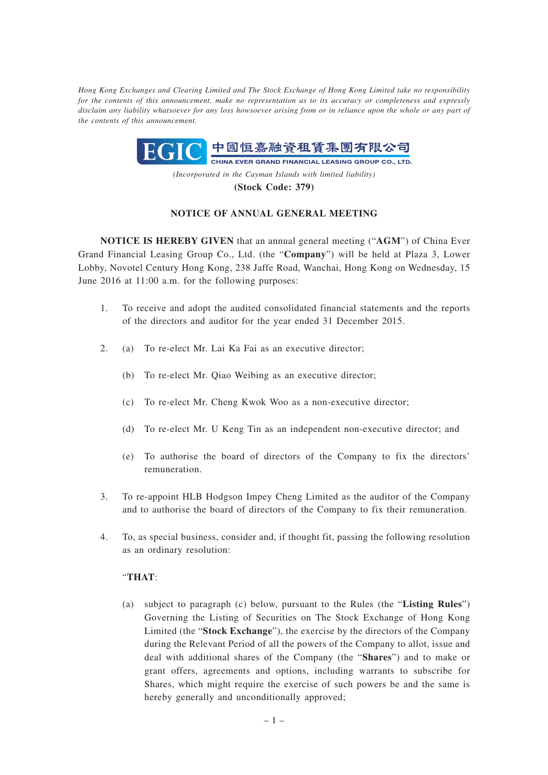*Hong Kong Exchanges and Clearing Limited and The Stock Exchange of Hong Kong Limited take no responsibility for the contents of this announcement, make no representation as to its accuracy or completeness and expressly disclaim any liability whatsoever for any loss howsoever arising from or in reliance upon the whole or any part of the contents of this announcement.*



**(Stock Code: 379)**

## **NOTICE OF ANNUAL GENERAL MEETING**

**NOTICE IS HEREBY GIVEN** that an annual general meeting ("**AGM**") of China Ever Grand Financial Leasing Group Co., Ltd. (the "**Company**") will be held at Plaza 3, Lower Lobby, Novotel Century Hong Kong, 238 Jaffe Road, Wanchai, Hong Kong on Wednesday, 15 June 2016 at 11:00 a.m. for the following purposes:

- 1. To receive and adopt the audited consolidated financial statements and the reports of the directors and auditor for the year ended 31 December 2015.
- 2. (a) To re-elect Mr. Lai Ka Fai as an executive director;
	- (b) To re-elect Mr. Qiao Weibing as an executive director;
	- (c) To re-elect Mr. Cheng Kwok Woo as a non-executive director;
	- (d) To re-elect Mr. U Keng Tin as an independent non-executive director; and
	- (e) To authorise the board of directors of the Company to fix the directors' remuneration.
- 3. To re-appoint HLB Hodgson Impey Cheng Limited as the auditor of the Company and to authorise the board of directors of the Company to fix their remuneration.
- 4. To, as special business, consider and, if thought fit, passing the following resolution as an ordinary resolution:

## "**THAT**:

(a) subject to paragraph (c) below, pursuant to the Rules (the "**Listing Rules**") Governing the Listing of Securities on The Stock Exchange of Hong Kong Limited (the "**Stock Exchange**"), the exercise by the directors of the Company during the Relevant Period of all the powers of the Company to allot, issue and deal with additional shares of the Company (the "**Shares**") and to make or grant offers, agreements and options, including warrants to subscribe for Shares, which might require the exercise of such powers be and the same is hereby generally and unconditionally approved;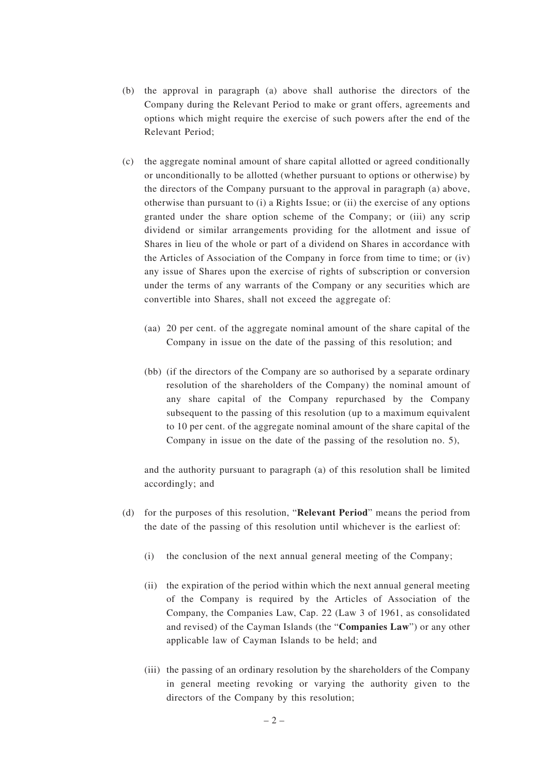- (b) the approval in paragraph (a) above shall authorise the directors of the Company during the Relevant Period to make or grant offers, agreements and options which might require the exercise of such powers after the end of the Relevant Period;
- (c) the aggregate nominal amount of share capital allotted or agreed conditionally or unconditionally to be allotted (whether pursuant to options or otherwise) by the directors of the Company pursuant to the approval in paragraph (a) above, otherwise than pursuant to (i) a Rights Issue; or (ii) the exercise of any options granted under the share option scheme of the Company; or (iii) any scrip dividend or similar arrangements providing for the allotment and issue of Shares in lieu of the whole or part of a dividend on Shares in accordance with the Articles of Association of the Company in force from time to time; or (iv) any issue of Shares upon the exercise of rights of subscription or conversion under the terms of any warrants of the Company or any securities which are convertible into Shares, shall not exceed the aggregate of:
	- (aa) 20 per cent. of the aggregate nominal amount of the share capital of the Company in issue on the date of the passing of this resolution; and
	- (bb) (if the directors of the Company are so authorised by a separate ordinary resolution of the shareholders of the Company) the nominal amount of any share capital of the Company repurchased by the Company subsequent to the passing of this resolution (up to a maximum equivalent to 10 per cent. of the aggregate nominal amount of the share capital of the Company in issue on the date of the passing of the resolution no. 5),

and the authority pursuant to paragraph (a) of this resolution shall be limited accordingly; and

- (d) for the purposes of this resolution, "**Relevant Period**" means the period from the date of the passing of this resolution until whichever is the earliest of:
	- (i) the conclusion of the next annual general meeting of the Company;
	- (ii) the expiration of the period within which the next annual general meeting of the Company is required by the Articles of Association of the Company, the Companies Law, Cap. 22 (Law 3 of 1961, as consolidated and revised) of the Cayman Islands (the "**Companies Law**") or any other applicable law of Cayman Islands to be held; and
	- (iii) the passing of an ordinary resolution by the shareholders of the Company in general meeting revoking or varying the authority given to the directors of the Company by this resolution;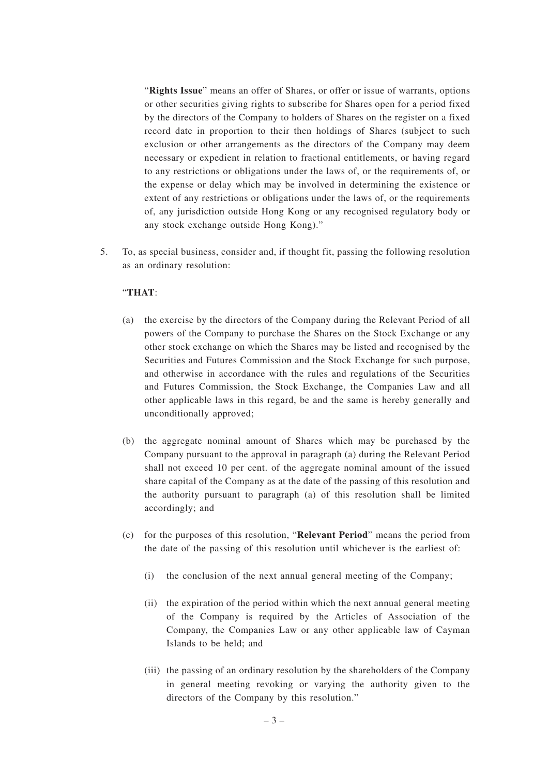"**Rights Issue**" means an offer of Shares, or offer or issue of warrants, options or other securities giving rights to subscribe for Shares open for a period fixed by the directors of the Company to holders of Shares on the register on a fixed record date in proportion to their then holdings of Shares (subject to such exclusion or other arrangements as the directors of the Company may deem necessary or expedient in relation to fractional entitlements, or having regard to any restrictions or obligations under the laws of, or the requirements of, or the expense or delay which may be involved in determining the existence or extent of any restrictions or obligations under the laws of, or the requirements of, any jurisdiction outside Hong Kong or any recognised regulatory body or any stock exchange outside Hong Kong)."

5. To, as special business, consider and, if thought fit, passing the following resolution as an ordinary resolution:

## "**THAT**:

- (a) the exercise by the directors of the Company during the Relevant Period of all powers of the Company to purchase the Shares on the Stock Exchange or any other stock exchange on which the Shares may be listed and recognised by the Securities and Futures Commission and the Stock Exchange for such purpose, and otherwise in accordance with the rules and regulations of the Securities and Futures Commission, the Stock Exchange, the Companies Law and all other applicable laws in this regard, be and the same is hereby generally and unconditionally approved;
- (b) the aggregate nominal amount of Shares which may be purchased by the Company pursuant to the approval in paragraph (a) during the Relevant Period shall not exceed 10 per cent. of the aggregate nominal amount of the issued share capital of the Company as at the date of the passing of this resolution and the authority pursuant to paragraph (a) of this resolution shall be limited accordingly; and
- (c) for the purposes of this resolution, "**Relevant Period**" means the period from the date of the passing of this resolution until whichever is the earliest of:
	- (i) the conclusion of the next annual general meeting of the Company;
	- (ii) the expiration of the period within which the next annual general meeting of the Company is required by the Articles of Association of the Company, the Companies Law or any other applicable law of Cayman Islands to be held; and
	- (iii) the passing of an ordinary resolution by the shareholders of the Company in general meeting revoking or varying the authority given to the directors of the Company by this resolution."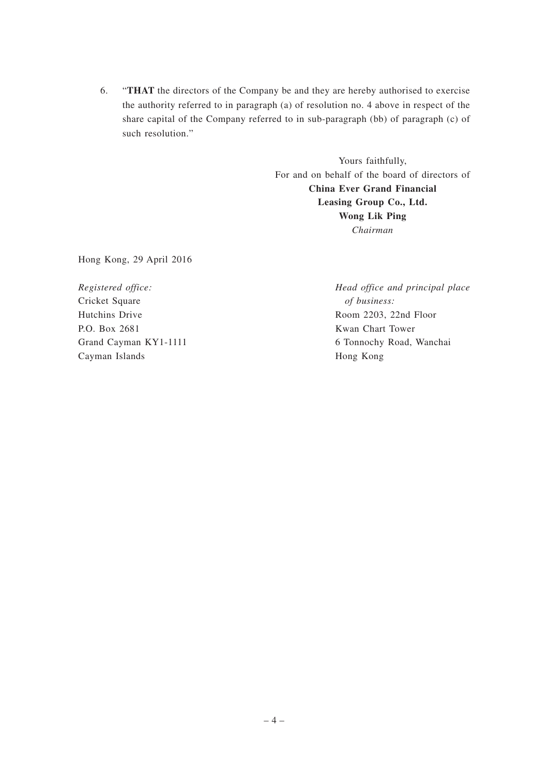6. "**THAT** the directors of the Company be and they are hereby authorised to exercise the authority referred to in paragraph (a) of resolution no. 4 above in respect of the share capital of the Company referred to in sub-paragraph (bb) of paragraph (c) of such resolution."

> Yours faithfully, For and on behalf of the board of directors of **China Ever Grand Financial Leasing Group Co., Ltd. Wong Lik Ping** *Chairman*

Hong Kong, 29 April 2016

*Registered office:* Cricket Square Hutchins Drive P.O. Box 2681 Grand Cayman KY1-1111 Cayman Islands

*Head office and principal place of business:* Room 2203, 22nd Floor Kwan Chart Tower 6 Tonnochy Road, Wanchai Hong Kong